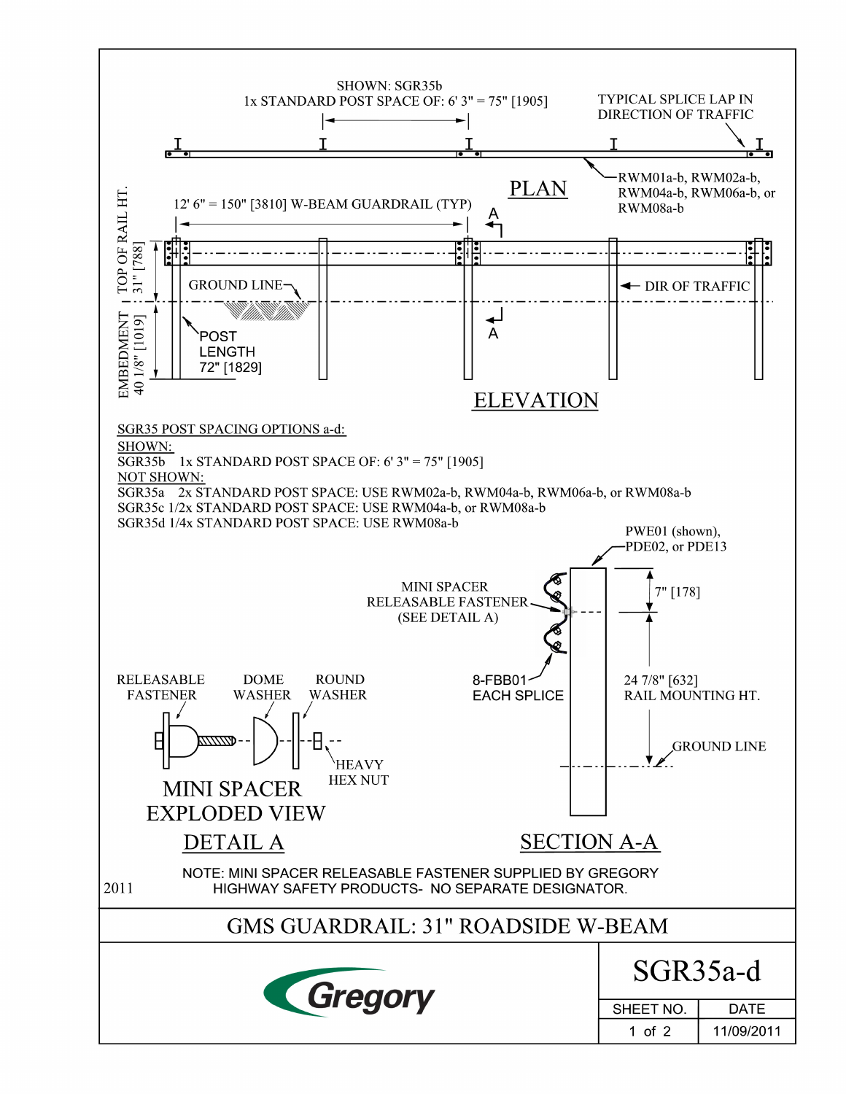